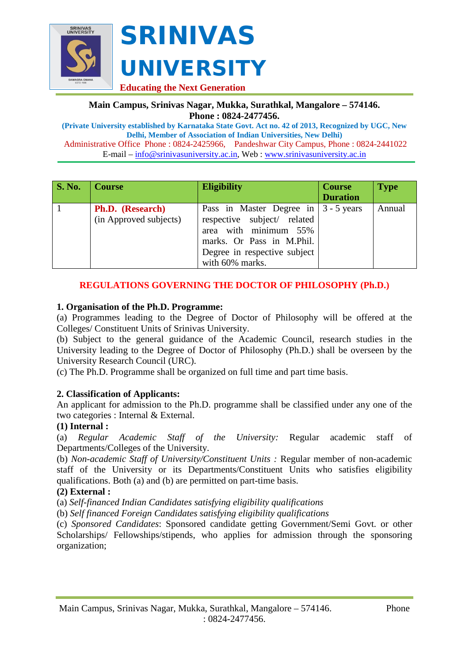

### **Main Campus, Srinivas Nagar, Mukka, Surathkal, Mangalore – 574146. Phone : 0824-2477456.**

**(Private University established by Karnataka State Govt. Act no. 42 of 2013, Recognized by UGC, New Delhi, Member of Association of Indian Universities, New Delhi)** Administrative Office Phone : 0824-2425966, Pandeshwar City Campus, Phone : 0824-2441022 E-mail – [info@srinivasuniversity.ac.in,](mailto:info@srinivasuniversity.ac.in) Web : [www.srinivasuniversity.ac.in](http://www.srinivasuniversity.ac.in/)

| <b>S. No.</b> | <b>Course</b>                                     | <b>Eligibility</b>                                                                                                                                                              | <b>Course</b><br><b>Duration</b> | <b>Type</b> |
|---------------|---------------------------------------------------|---------------------------------------------------------------------------------------------------------------------------------------------------------------------------------|----------------------------------|-------------|
|               | <b>Ph.D.</b> (Research)<br>(in Approved subjects) | Pass in Master Degree in $ 3 - 5$ years<br>respective subject/ related<br>area with minimum 55%<br>marks. Or Pass in M.Phil.<br>Degree in respective subject<br>with 60% marks. |                                  | Annual      |

# **REGULATIONS GOVERNING THE DOCTOR OF PHILOSOPHY (Ph.D.)**

# **1. Organisation of the Ph.D. Programme:**

(a) Programmes leading to the Degree of Doctor of Philosophy will be offered at the Colleges/ Constituent Units of Srinivas University.

(b) Subject to the general guidance of the Academic Council, research studies in the University leading to the Degree of Doctor of Philosophy (Ph.D.) shall be overseen by the University Research Council (URC).

(c) The Ph.D. Programme shall be organized on full time and part time basis.

# **2. Classification of Applicants:**

An applicant for admission to the Ph.D. programme shall be classified under any one of the two categories : Internal & External.

# **(1) Internal :**

(a) *Regular Academic Staff of the University:* Regular academic staff of Departments/Colleges of the University.

(b) *Non-academic Staff of University/Constituent Units :* Regular member of non-academic staff of the University or its Departments/Constituent Units who satisfies eligibility qualifications. Both (a) and (b) are permitted on part-time basis.

# **(2) External :**

(a) *Self-financed Indian Candidates satisfying eligibility qualifications*

(b) *Self financed Foreign Candidates satisfying eligibility qualifications* 

(c) *Sponsored Candidates*: Sponsored candidate getting Government/Semi Govt. or other Scholarships/ Fellowships/stipends, who applies for admission through the sponsoring organization;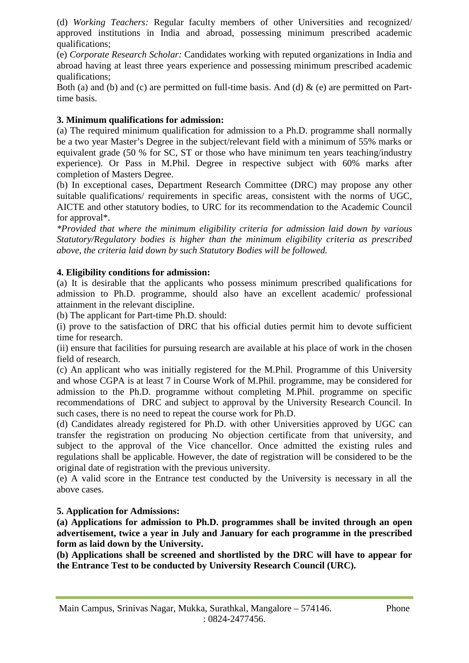(d) *Working Teachers:* Regular faculty members of other Universities and recognized/ approved institutions in India and abroad, possessing minimum prescribed academic qualifications;

(e) *Corporate Research Scholar:* Candidates working with reputed organizations in India and abroad having at least three years experience and possessing minimum prescribed academic qualifications;

Both (a) and (b) and (c) are permitted on full-time basis. And (d)  $\&$  (e) are permitted on Parttime basis.

### **3. Minimum qualifications for admission:**

(a) The required minimum qualification for admission to a Ph.D. programme shall normally be a two year Master's Degree in the subject/relevant field with a minimum of 55% marks or equivalent grade (50 % for SC, ST or those who have minimum ten years teaching/industry experience). Or Pass in M.Phil. Degree in respective subject with 60% marks after completion of Masters Degree.

(b) In exceptional cases, Department Research Committee (DRC) may propose any other suitable qualifications/ requirements in specific areas, consistent with the norms of UGC, AICTE and other statutory bodies, to URC for its recommendation to the Academic Council for approval\*.

*\*Provided that where the minimum eligibility criteria for admission laid down by various Statutory/Regulatory bodies is higher than the minimum eligibility criteria as prescribed above, the criteria laid down by such Statutory Bodies will be followed.* 

#### **4. Eligibility conditions for admission:**

(a) It is desirable that the applicants who possess minimum prescribed qualifications for admission to Ph.D. programme, should also have an excellent academic/ professional attainment in the relevant discipline.

(b) The applicant for Part-time Ph.D. should:

(i) prove to the satisfaction of DRC that his official duties permit him to devote sufficient time for research.

(ii) ensure that facilities for pursuing research are available at his place of work in the chosen field of research.

(c) An applicant who was initially registered for the M.Phil. Programme of this University and whose CGPA is at least 7 in Course Work of M.Phil. programme, may be considered for admission to the Ph.D. programme without completing M.Phil. programme on specific recommendations of DRC and subject to approval by the University Research Council. In such cases, there is no need to repeat the course work for Ph.D.

(d) Candidates already registered for Ph.D. with other Universities approved by UGC can transfer the registration on producing No objection certificate from that university, and subject to the approval of the Vice chancellor. Once admitted the existing rules and regulations shall be applicable. However, the date of registration will be considered to be the original date of registration with the previous university.

(e) A valid score in the Entrance test conducted by the University is necessary in all the above cases.

#### **5. Application for Admissions:**

**(a) Applications for admission to Ph.D. programmes shall be invited through an open advertisement, twice a year in July and January for each programme in the prescribed form as laid down by the University.** 

**(b) Applications shall be screened and shortlisted by the DRC will have to appear for the Entrance Test to be conducted by University Research Council (URC).**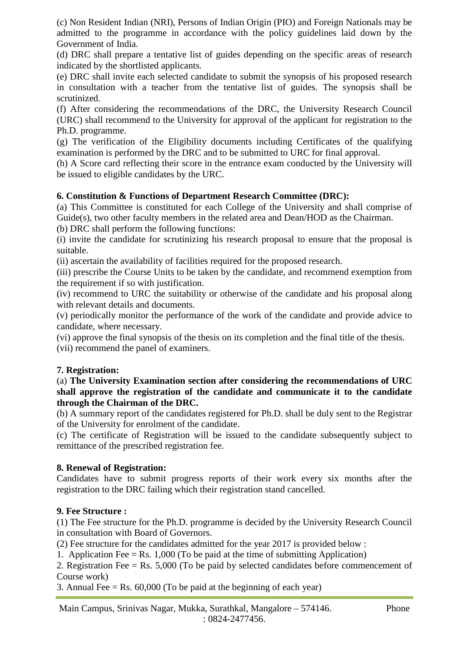(c) Non Resident Indian (NRI), Persons of Indian Origin (PIO) and Foreign Nationals may be admitted to the programme in accordance with the policy guidelines laid down by the Government of India.

(d) DRC shall prepare a tentative list of guides depending on the specific areas of research indicated by the shortlisted applicants.

(e) DRC shall invite each selected candidate to submit the synopsis of his proposed research in consultation with a teacher from the tentative list of guides. The synopsis shall be scrutinized.

(f) After considering the recommendations of the DRC, the University Research Council (URC) shall recommend to the University for approval of the applicant for registration to the Ph.D. programme.

(g) The verification of the Eligibility documents including Certificates of the qualifying examination is performed by the DRC and to be submitted to URC for final approval.

(h) A Score card reflecting their score in the entrance exam conducted by the University will be issued to eligible candidates by the URC.

# **6. Constitution & Functions of Department Research Committee (DRC):**

(a) This Committee is constituted for each College of the University and shall comprise of Guide(s), two other faculty members in the related area and Dean/HOD as the Chairman.

(b) DRC shall perform the following functions:

(i) invite the candidate for scrutinizing his research proposal to ensure that the proposal is suitable.

(ii) ascertain the availability of facilities required for the proposed research.

(iii) prescribe the Course Units to be taken by the candidate, and recommend exemption from the requirement if so with justification.

(iv) recommend to URC the suitability or otherwise of the candidate and his proposal along with relevant details and documents.

(v) periodically monitor the performance of the work of the candidate and provide advice to candidate, where necessary.

(vi) approve the final synopsis of the thesis on its completion and the final title of the thesis.

(vii) recommend the panel of examiners.

# **7. Registration:**

(a) **The University Examination section after considering the recommendations of URC shall approve the registration of the candidate and communicate it to the candidate through the Chairman of the DRC.** 

(b) A summary report of the candidates registered for Ph.D. shall be duly sent to the Registrar of the University for enrolment of the candidate.

(c) The certificate of Registration will be issued to the candidate subsequently subject to remittance of the prescribed registration fee.

# **8. Renewal of Registration:**

Candidates have to submit progress reports of their work every six months after the registration to the DRC failing which their registration stand cancelled.

# **9. Fee Structure :**

(1) The Fee structure for the Ph.D. programme is decided by the University Research Council in consultation with Board of Governors.

(2) Fee structure for the candidates admitted for the year 2017 is provided below :

1. Application Fee  $=$  Rs. 1,000 (To be paid at the time of submitting Application)

2. Registration Fee = Rs. 5,000 (To be paid by selected candidates before commencement of Course work)

3. Annual Fee  $=$  Rs. 60,000 (To be paid at the beginning of each year)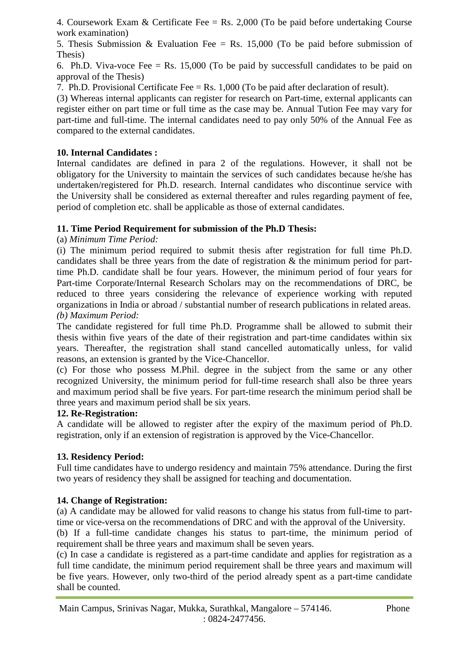4. Coursework Exam & Certificate Fee = Rs. 2,000 (To be paid before undertaking Course work examination)

5. Thesis Submission & Evaluation Fee = Rs. 15,000 (To be paid before submission of Thesis)

6. Ph.D. Viva-voce Fee  $=$  Rs. 15,000 (To be paid by successfull candidates to be paid on approval of the Thesis)

7. Ph.D. Provisional Certificate Fee = Rs. 1,000 (To be paid after declaration of result).

(3) Whereas internal applicants can register for research on Part-time, external applicants can register either on part time or full time as the case may be. Annual Tution Fee may vary for part-time and full-time. The internal candidates need to pay only 50% of the Annual Fee as compared to the external candidates.

### **10. Internal Candidates :**

Internal candidates are defined in para 2 of the regulations. However, it shall not be obligatory for the University to maintain the services of such candidates because he/she has undertaken/registered for Ph.D. research. Internal candidates who discontinue service with the University shall be considered as external thereafter and rules regarding payment of fee, period of completion etc. shall be applicable as those of external candidates.

#### **11. Time Period Requirement for submission of the Ph.D Thesis:**

#### (a) *Minimum Time Period:*

(i) The minimum period required to submit thesis after registration for full time Ph.D. candidates shall be three years from the date of registration & the minimum period for parttime Ph.D. candidate shall be four years. However, the minimum period of four years for Part-time Corporate/Internal Research Scholars may on the recommendations of DRC, be reduced to three years considering the relevance of experience working with reputed organizations in India or abroad / substantial number of research publications in related areas. *(b) Maximum Period:* 

The candidate registered for full time Ph.D. Programme shall be allowed to submit their thesis within five years of the date of their registration and part-time candidates within six years. Thereafter, the registration shall stand cancelled automatically unless, for valid reasons, an extension is granted by the Vice-Chancellor.

(c) For those who possess M.Phil. degree in the subject from the same or any other recognized University, the minimum period for full-time research shall also be three years and maximum period shall be five years. For part-time research the minimum period shall be three years and maximum period shall be six years.

#### **12. Re-Registration:**

A candidate will be allowed to register after the expiry of the maximum period of Ph.D. registration, only if an extension of registration is approved by the Vice-Chancellor.

# **13. Residency Period:**

Full time candidates have to undergo residency and maintain 75% attendance. During the first two years of residency they shall be assigned for teaching and documentation.

#### **14. Change of Registration:**

(a) A candidate may be allowed for valid reasons to change his status from full-time to parttime or vice-versa on the recommendations of DRC and with the approval of the University.

(b) If a full-time candidate changes his status to part-time, the minimum period of requirement shall be three years and maximum shall be seven years.

(c) In case a candidate is registered as a part-time candidate and applies for registration as a full time candidate, the minimum period requirement shall be three years and maximum will be five years. However, only two-third of the period already spent as a part-time candidate shall be counted.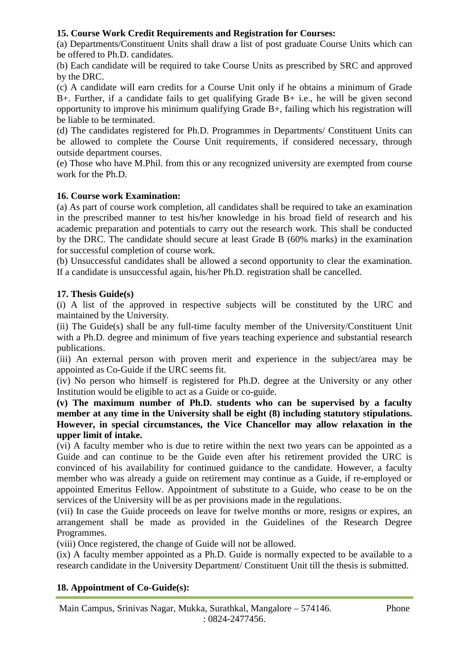# **15. Course Work Credit Requirements and Registration for Courses:**

(a) Departments/Constituent Units shall draw a list of post graduate Course Units which can be offered to Ph.D. candidates.

(b) Each candidate will be required to take Course Units as prescribed by SRC and approved by the DRC.

(c) A candidate will earn credits for a Course Unit only if he obtains a minimum of Grade B+. Further, if a candidate fails to get qualifying Grade B+ i.e., he will be given second opportunity to improve his minimum qualifying Grade B+, failing which his registration will be liable to be terminated.

(d) The candidates registered for Ph.D. Programmes in Departments/ Constituent Units can be allowed to complete the Course Unit requirements, if considered necessary, through outside department courses.

(e) Those who have M.Phil. from this or any recognized university are exempted from course work for the Ph.D.

# **16. Course work Examination:**

(a) As part of course work completion, all candidates shall be required to take an examination in the prescribed manner to test his/her knowledge in his broad field of research and his academic preparation and potentials to carry out the research work. This shall be conducted by the DRC. The candidate should secure at least Grade B (60% marks) in the examination for successful completion of course work.

(b) Unsuccessful candidates shall be allowed a second opportunity to clear the examination. If a candidate is unsuccessful again, his/her Ph.D. registration shall be cancelled.

# **17. Thesis Guide(s)**

(i) A list of the approved in respective subjects will be constituted by the URC and maintained by the University.

(ii) The Guide(s) shall be any full-time faculty member of the University/Constituent Unit with a Ph.D. degree and minimum of five years teaching experience and substantial research publications.

(iii) An external person with proven merit and experience in the subject/area may be appointed as Co-Guide if the URC seems fit.

(iv) No person who himself is registered for Ph.D. degree at the University or any other Institution would be eligible to act as a Guide or co-guide.

**(v) The maximum number of Ph.D. students who can be supervised by a faculty member at any time in the University shall be eight (8) including statutory stipulations. However, in special circumstances, the Vice Chancellor may allow relaxation in the upper limit of intake.** 

(vi) A faculty member who is due to retire within the next two years can be appointed as a Guide and can continue to be the Guide even after his retirement provided the URC is convinced of his availability for continued guidance to the candidate. However, a faculty member who was already a guide on retirement may continue as a Guide, if re-employed or appointed Emeritus Fellow. Appointment of substitute to a Guide, who cease to be on the services of the University will be as per provisions made in the regulations.

(vii) In case the Guide proceeds on leave for twelve months or more, resigns or expires, an arrangement shall be made as provided in the Guidelines of the Research Degree Programmes.

(viii) Once registered, the change of Guide will not be allowed.

(ix) A faculty member appointed as a Ph.D. Guide is normally expected to be available to a research candidate in the University Department/ Constituent Unit till the thesis is submitted.

# **18. Appointment of Co-Guide(s):**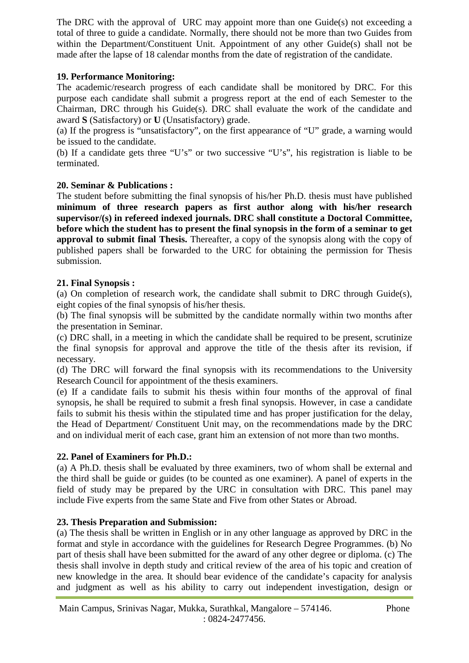The DRC with the approval of URC may appoint more than one Guide(s) not exceeding a total of three to guide a candidate. Normally, there should not be more than two Guides from within the Department/Constituent Unit. Appointment of any other Guide(s) shall not be made after the lapse of 18 calendar months from the date of registration of the candidate.

# **19. Performance Monitoring:**

The academic/research progress of each candidate shall be monitored by DRC. For this purpose each candidate shall submit a progress report at the end of each Semester to the Chairman, DRC through his Guide(s). DRC shall evaluate the work of the candidate and award **S** (Satisfactory) or **U** (Unsatisfactory) grade.

(a) If the progress is "unsatisfactory", on the first appearance of "U" grade, a warning would be issued to the candidate.

(b) If a candidate gets three "U's" or two successive "U's", his registration is liable to be terminated.

#### **20. Seminar & Publications :**

The student before submitting the final synopsis of his/her Ph.D. thesis must have published **minimum of three research papers as first author along with his/her research supervisor/(s) in refereed indexed journals. DRC shall constitute a Doctoral Committee, before which the student has to present the final synopsis in the form of a seminar to get approval to submit final Thesis.** Thereafter, a copy of the synopsis along with the copy of published papers shall be forwarded to the URC for obtaining the permission for Thesis submission.

#### **21. Final Synopsis :**

(a) On completion of research work, the candidate shall submit to DRC through Guide(s), eight copies of the final synopsis of his/her thesis.

(b) The final synopsis will be submitted by the candidate normally within two months after the presentation in Seminar.

(c) DRC shall, in a meeting in which the candidate shall be required to be present, scrutinize the final synopsis for approval and approve the title of the thesis after its revision, if necessary.

(d) The DRC will forward the final synopsis with its recommendations to the University Research Council for appointment of the thesis examiners.

(e) If a candidate fails to submit his thesis within four months of the approval of final synopsis, he shall be required to submit a fresh final synopsis. However, in case a candidate fails to submit his thesis within the stipulated time and has proper justification for the delay, the Head of Department/ Constituent Unit may, on the recommendations made by the DRC and on individual merit of each case, grant him an extension of not more than two months.

# **22. Panel of Examiners for Ph.D.:**

(a) A Ph.D. thesis shall be evaluated by three examiners, two of whom shall be external and the third shall be guide or guides (to be counted as one examiner). A panel of experts in the field of study may be prepared by the URC in consultation with DRC. This panel may include Five experts from the same State and Five from other States or Abroad.

#### **23. Thesis Preparation and Submission:**

(a) The thesis shall be written in English or in any other language as approved by DRC in the format and style in accordance with the guidelines for Research Degree Programmes. (b) No part of thesis shall have been submitted for the award of any other degree or diploma. (c) The thesis shall involve in depth study and critical review of the area of his topic and creation of new knowledge in the area. It should bear evidence of the candidate's capacity for analysis and judgment as well as his ability to carry out independent investigation, design or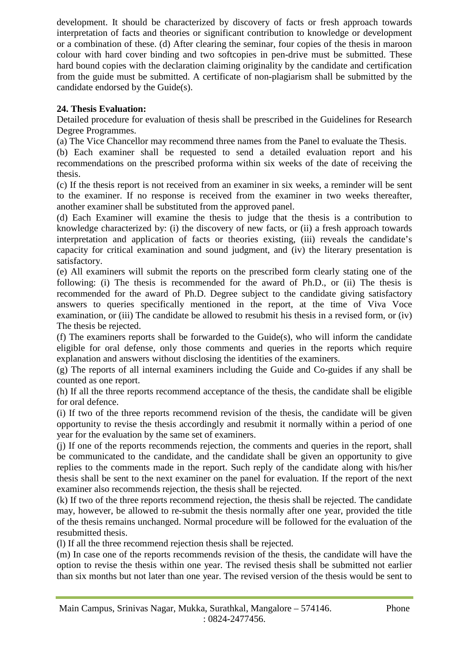development. It should be characterized by discovery of facts or fresh approach towards interpretation of facts and theories or significant contribution to knowledge or development or a combination of these. (d) After clearing the seminar, four copies of the thesis in maroon colour with hard cover binding and two softcopies in pen-drive must be submitted. These hard bound copies with the declaration claiming originality by the candidate and certification from the guide must be submitted. A certificate of non-plagiarism shall be submitted by the candidate endorsed by the Guide(s).

# **24. Thesis Evaluation:**

Detailed procedure for evaluation of thesis shall be prescribed in the Guidelines for Research Degree Programmes.

(a) The Vice Chancellor may recommend three names from the Panel to evaluate the Thesis.

(b) Each examiner shall be requested to send a detailed evaluation report and his recommendations on the prescribed proforma within six weeks of the date of receiving the thesis.

(c) If the thesis report is not received from an examiner in six weeks, a reminder will be sent to the examiner. If no response is received from the examiner in two weeks thereafter, another examiner shall be substituted from the approved panel.

(d) Each Examiner will examine the thesis to judge that the thesis is a contribution to knowledge characterized by: (i) the discovery of new facts, or (ii) a fresh approach towards interpretation and application of facts or theories existing, (iii) reveals the candidate's capacity for critical examination and sound judgment, and (iv) the literary presentation is satisfactory.

(e) All examiners will submit the reports on the prescribed form clearly stating one of the following: (i) The thesis is recommended for the award of Ph.D., or (ii) The thesis is recommended for the award of Ph.D. Degree subject to the candidate giving satisfactory answers to queries specifically mentioned in the report, at the time of Viva Voce examination, or (iii) The candidate be allowed to resubmit his thesis in a revised form, or (iv) The thesis be rejected.

(f) The examiners reports shall be forwarded to the Guide(s), who will inform the candidate eligible for oral defense, only those comments and queries in the reports which require explanation and answers without disclosing the identities of the examiners.

(g) The reports of all internal examiners including the Guide and Co-guides if any shall be counted as one report.

(h) If all the three reports recommend acceptance of the thesis, the candidate shall be eligible for oral defence.

(i) If two of the three reports recommend revision of the thesis, the candidate will be given opportunity to revise the thesis accordingly and resubmit it normally within a period of one year for the evaluation by the same set of examiners.

(j) If one of the reports recommends rejection, the comments and queries in the report, shall be communicated to the candidate, and the candidate shall be given an opportunity to give replies to the comments made in the report. Such reply of the candidate along with his/her thesis shall be sent to the next examiner on the panel for evaluation. If the report of the next examiner also recommends rejection, the thesis shall be rejected.

(k) If two of the three reports recommend rejection, the thesis shall be rejected. The candidate may, however, be allowed to re-submit the thesis normally after one year, provided the title of the thesis remains unchanged. Normal procedure will be followed for the evaluation of the resubmitted thesis.

(l) If all the three recommend rejection thesis shall be rejected.

(m) In case one of the reports recommends revision of the thesis, the candidate will have the option to revise the thesis within one year. The revised thesis shall be submitted not earlier than six months but not later than one year. The revised version of the thesis would be sent to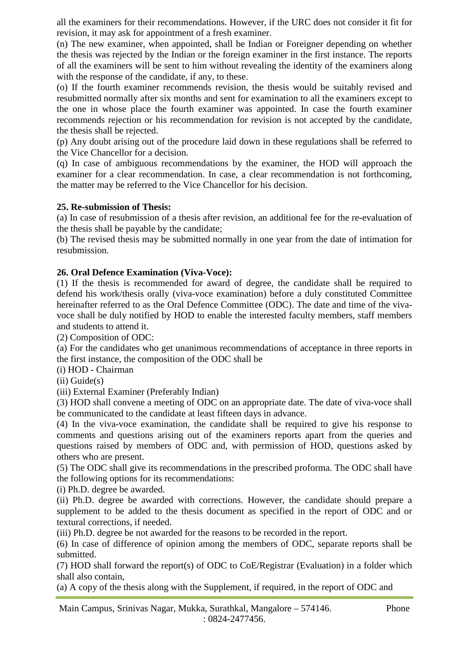all the examiners for their recommendations. However, if the URC does not consider it fit for revision, it may ask for appointment of a fresh examiner.

(n) The new examiner, when appointed, shall be Indian or Foreigner depending on whether the thesis was rejected by the Indian or the foreign examiner in the first instance. The reports of all the examiners will be sent to him without revealing the identity of the examiners along with the response of the candidate, if any, to these.

(o) If the fourth examiner recommends revision, the thesis would be suitably revised and resubmitted normally after six months and sent for examination to all the examiners except to the one in whose place the fourth examiner was appointed. In case the fourth examiner recommends rejection or his recommendation for revision is not accepted by the candidate, the thesis shall be rejected.

(p) Any doubt arising out of the procedure laid down in these regulations shall be referred to the Vice Chancellor for a decision.

(q) In case of ambiguous recommendations by the examiner, the HOD will approach the examiner for a clear recommendation. In case, a clear recommendation is not forthcoming, the matter may be referred to the Vice Chancellor for his decision.

# **25. Re-submission of Thesis:**

(a) In case of resubmission of a thesis after revision, an additional fee for the re-evaluation of the thesis shall be payable by the candidate;

(b) The revised thesis may be submitted normally in one year from the date of intimation for resubmission.

# **26. Oral Defence Examination (Viva-Voce):**

(1) If the thesis is recommended for award of degree, the candidate shall be required to defend his work/thesis orally (viva-voce examination) before a duly constituted Committee hereinafter referred to as the Oral Defence Committee (ODC). The date and time of the vivavoce shall be duly notified by HOD to enable the interested faculty members, staff members and students to attend it.

(2) Composition of ODC:

(a) For the candidates who get unanimous recommendations of acceptance in three reports in the first instance, the composition of the ODC shall be

(i) HOD - Chairman

(ii) Guide(s)

(iii) External Examiner (Preferably Indian)

(3) HOD shall convene a meeting of ODC on an appropriate date. The date of viva-voce shall be communicated to the candidate at least fifteen days in advance.

(4) In the viva-voce examination, the candidate shall be required to give his response to comments and questions arising out of the examiners reports apart from the queries and questions raised by members of ODC and, with permission of HOD, questions asked by others who are present.

(5) The ODC shall give its recommendations in the prescribed proforma. The ODC shall have the following options for its recommendations:

(i) Ph.D. degree be awarded.

(ii) Ph.D. degree be awarded with corrections. However, the candidate should prepare a supplement to be added to the thesis document as specified in the report of ODC and or textural corrections, if needed.

(iii) Ph.D. degree be not awarded for the reasons to be recorded in the report.

(6) In case of difference of opinion among the members of ODC, separate reports shall be submitted.

(7) HOD shall forward the report(s) of ODC to CoE/Registrar (Evaluation) in a folder which shall also contain,

(a) A copy of the thesis along with the Supplement, if required, in the report of ODC and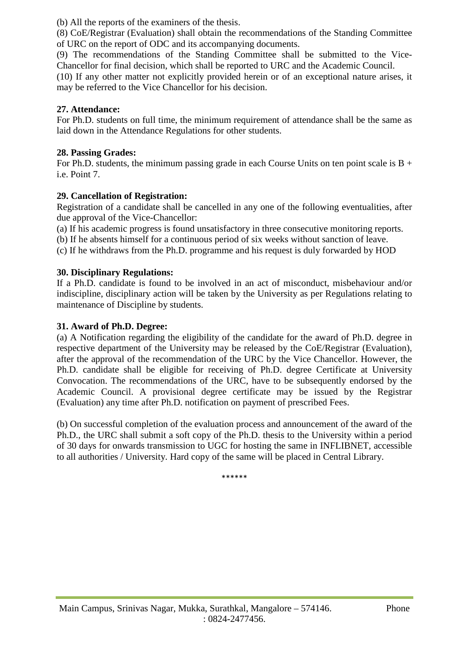(b) All the reports of the examiners of the thesis.

(8) CoE/Registrar (Evaluation) shall obtain the recommendations of the Standing Committee of URC on the report of ODC and its accompanying documents.

(9) The recommendations of the Standing Committee shall be submitted to the Vice-Chancellor for final decision, which shall be reported to URC and the Academic Council.

(10) If any other matter not explicitly provided herein or of an exceptional nature arises, it may be referred to the Vice Chancellor for his decision.

# **27. Attendance:**

For Ph.D. students on full time, the minimum requirement of attendance shall be the same as laid down in the Attendance Regulations for other students.

### **28. Passing Grades:**

For Ph.D. students, the minimum passing grade in each Course Units on ten point scale is  $B +$ i.e. Point 7.

#### **29. Cancellation of Registration:**

Registration of a candidate shall be cancelled in any one of the following eventualities, after due approval of the Vice-Chancellor:

(a) If his academic progress is found unsatisfactory in three consecutive monitoring reports.

(b) If he absents himself for a continuous period of six weeks without sanction of leave.

(c) If he withdraws from the Ph.D. programme and his request is duly forwarded by HOD

#### **30. Disciplinary Regulations:**

If a Ph.D. candidate is found to be involved in an act of misconduct, misbehaviour and/or indiscipline, disciplinary action will be taken by the University as per Regulations relating to maintenance of Discipline by students.

### **31. Award of Ph.D. Degree:**

(a) A Notification regarding the eligibility of the candidate for the award of Ph.D. degree in respective department of the University may be released by the CoE/Registrar (Evaluation), after the approval of the recommendation of the URC by the Vice Chancellor. However, the Ph.D. candidate shall be eligible for receiving of Ph.D. degree Certificate at University Convocation. The recommendations of the URC, have to be subsequently endorsed by the Academic Council. A provisional degree certificate may be issued by the Registrar (Evaluation) any time after Ph.D. notification on payment of prescribed Fees.

(b) On successful completion of the evaluation process and announcement of the award of the Ph.D., the URC shall submit a soft copy of the Ph.D. thesis to the University within a period of 30 days for onwards transmission to UGC for hosting the same in INFLIBNET, accessible to all authorities / University. Hard copy of the same will be placed in Central Library.

\*\*\*\*\*\*